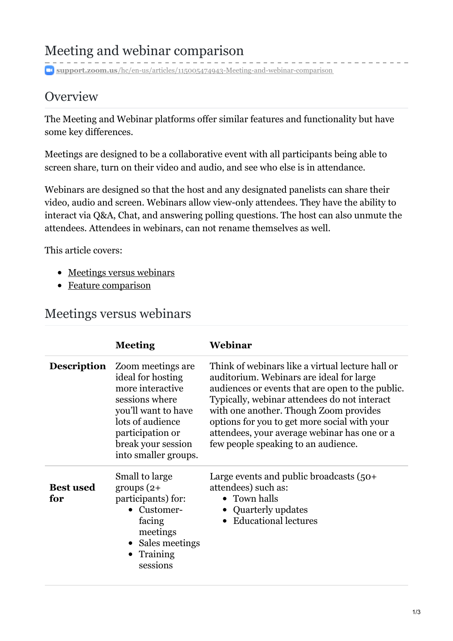## Meeting and webinar comparison

**support.zoom.us**[/hc/en-us/articles/115005474943-Meeting-and-webinar-comparison](https://support.zoom.us/hc/en-us/articles/115005474943-Meeting-and-webinar-comparison)

## **Overview**

The Meeting and Webinar platforms offer similar features and functionality but have some key differences.

Meetings are designed to be a collaborative event with all participants being able to screen share, turn on their video and audio, and see who else is in attendance.

Webinars are designed so that the host and any designated panelists can share their video, audio and screen. Webinars allow view-only attendees. They have the ability to interact via Q&A, Chat, and answering polling questions. The host can also unmute the attendees. Attendees in webinars, can not rename themselves as well.

This article covers:

- [Meetings](#page-0-0) versus webinars
- Feature [comparison](#page-1-0)

## <span id="page-0-0"></span>Meetings versus webinars

|                         | <b>Meeting</b>                                                                                                                                                                             | Webinar                                                                                                                                                                                                                                                                                                                                                                           |
|-------------------------|--------------------------------------------------------------------------------------------------------------------------------------------------------------------------------------------|-----------------------------------------------------------------------------------------------------------------------------------------------------------------------------------------------------------------------------------------------------------------------------------------------------------------------------------------------------------------------------------|
| <b>Description</b>      | Zoom meetings are.<br>ideal for hosting<br>more interactive<br>sessions where<br>you'll want to have<br>lots of audience<br>participation or<br>break your session<br>into smaller groups. | Think of webinars like a virtual lecture hall or<br>auditorium. Webinars are ideal for large<br>audiences or events that are open to the public.<br>Typically, webinar attendees do not interact<br>with one another. Though Zoom provides<br>options for you to get more social with your<br>attendees, your average webinar has one or a<br>few people speaking to an audience. |
| <b>Best used</b><br>for | Small to large<br>groups $(2+)$<br>participants) for:<br>• Customer-<br>facing<br>meetings<br>• Sales meetings<br>Training<br>$\bullet$<br>sessions                                        | Large events and public broadcasts $(50+)$<br>attendees) such as:<br>$\bullet$ Town halls<br>• Quarterly updates<br>• Educational lectures                                                                                                                                                                                                                                        |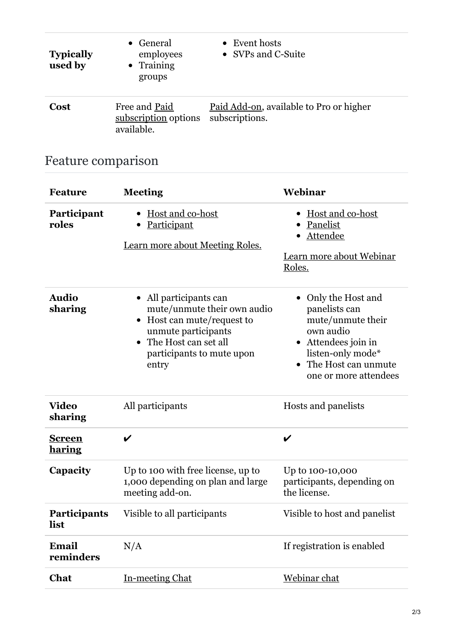| <b>Typically</b><br>used by | General<br>employees<br>• Training<br>groups        | • Event hosts<br>• SVPs and C-Suite                       |
|-----------------------------|-----------------------------------------------------|-----------------------------------------------------------|
| <b>Cost</b>                 | Free and Paid<br>subscription options<br>available. | Paid Add-on, available to Pro or higher<br>subscriptions. |

## <span id="page-1-0"></span>Feature comparison

| <b>Feature</b>                 | <b>Meeting</b>                                                                                                                                                           | Webinar                                                                                                                                                                       |
|--------------------------------|--------------------------------------------------------------------------------------------------------------------------------------------------------------------------|-------------------------------------------------------------------------------------------------------------------------------------------------------------------------------|
| Participant<br>roles           | Host and co-host<br><b>Participant</b><br>Learn more about Meeting Roles.                                                                                                | Host and co-host<br>Panelist<br>Attendee<br>Learn more about Webinar<br>Roles.                                                                                                |
| <b>Audio</b><br>sharing        | All participants can<br>mute/unmute their own audio<br>• Host can mute/request to<br>unmute participants<br>• The Host can set all<br>participants to mute upon<br>entry | Only the Host and<br>panelists can<br>mute/unmute their<br>own audio<br>• Attendees join in<br>listen-only mode*<br>The Host can unmute<br>$\bullet$<br>one or more attendees |
| <b>Video</b><br>sharing        | All participants                                                                                                                                                         | Hosts and panelists                                                                                                                                                           |
| <u>Screen</u><br><u>haring</u> | V                                                                                                                                                                        | V                                                                                                                                                                             |
| Capacity                       | Up to 100 with free license, up to<br>1,000 depending on plan and large<br>meeting add-on.                                                                               | Up to 100-10,000<br>participants, depending on<br>the license.                                                                                                                |
| <b>Participants</b><br>list    | Visible to all participants                                                                                                                                              | Visible to host and panelist                                                                                                                                                  |
| Email<br>reminders             | N/A                                                                                                                                                                      | If registration is enabled                                                                                                                                                    |
| Chat                           | In-meeting Chat                                                                                                                                                          | Webinar chat                                                                                                                                                                  |